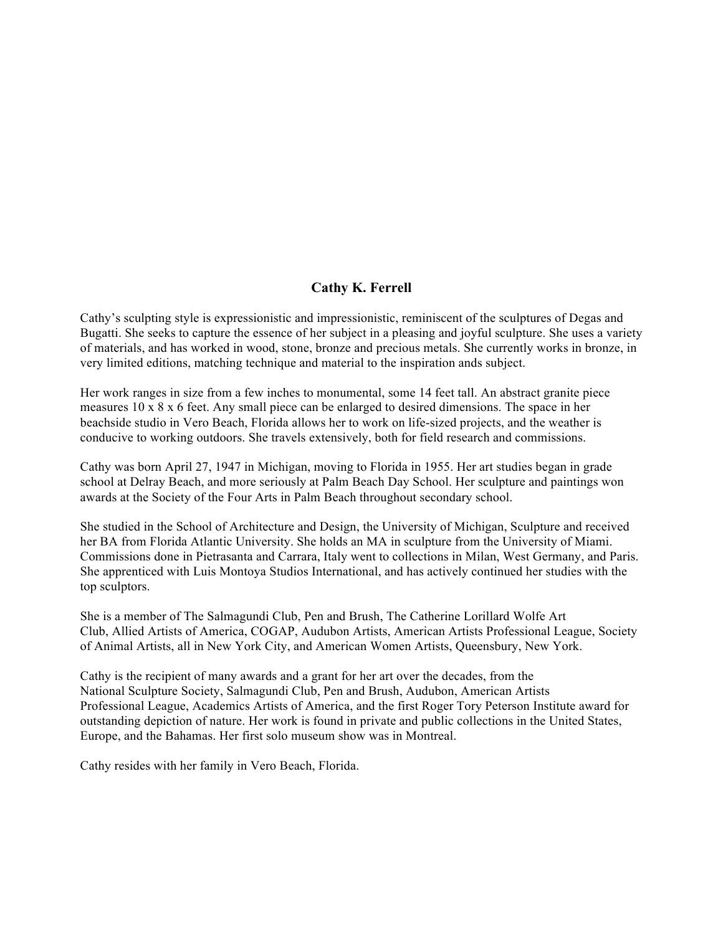# **Cathy K. Ferrell**

Cathy's sculpting style is expressionistic and impressionistic, reminiscent of the sculptures of Degas and Bugatti. She seeks to capture the essence of her subject in a pleasing and joyful sculpture. She uses a variety of materials, and has worked in wood, stone, bronze and precious metals. She currently works in bronze, in very limited editions, matching technique and material to the inspiration ands subject.

Her work ranges in size from a few inches to monumental, some 14 feet tall. An abstract granite piece measures 10 x 8 x 6 feet. Any small piece can be enlarged to desired dimensions. The space in her beachside studio in Vero Beach, Florida allows her to work on life-sized projects, and the weather is conducive to working outdoors. She travels extensively, both for field research and commissions.

Cathy was born April 27, 1947 in Michigan, moving to Florida in 1955. Her art studies began in grade school at Delray Beach, and more seriously at Palm Beach Day School. Her sculpture and paintings won awards at the Society of the Four Arts in Palm Beach throughout secondary school.

She studied in the School of Architecture and Design, the University of Michigan, Sculpture and received her BA from Florida Atlantic University. She holds an MA in sculpture from the University of Miami. Commissions done in Pietrasanta and Carrara, Italy went to collections in Milan, West Germany, and Paris. She apprenticed with Luis Montoya Studios International, and has actively continued her studies with the top sculptors.

She is a member of The Salmagundi Club, Pen and Brush, The Catherine Lorillard Wolfe Art Club, Allied Artists of America, COGAP, Audubon Artists, American Artists Professional League, Society of Animal Artists, all in New York City, and American Women Artists, Queensbury, New York.

Cathy is the recipient of many awards and a grant for her art over the decades, from the National Sculpture Society, Salmagundi Club, Pen and Brush, Audubon, American Artists Professional League, Academics Artists of America, and the first Roger Tory Peterson Institute award for outstanding depiction of nature. Her work is found in private and public collections in the United States, Europe, and the Bahamas. Her first solo museum show was in Montreal.

Cathy resides with her family in Vero Beach, Florida.